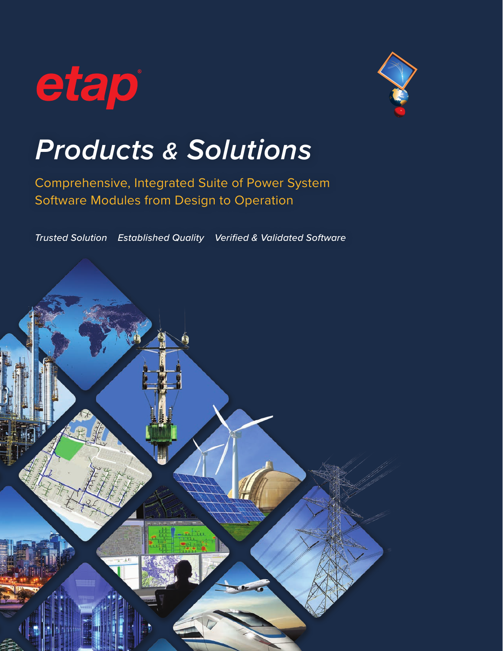



# *Products & Solutions*

Comprehensive, Integrated Suite of Power System Software Modules from Design to Operation

*Trusted Solution Established Quality Verified & Validated Software*

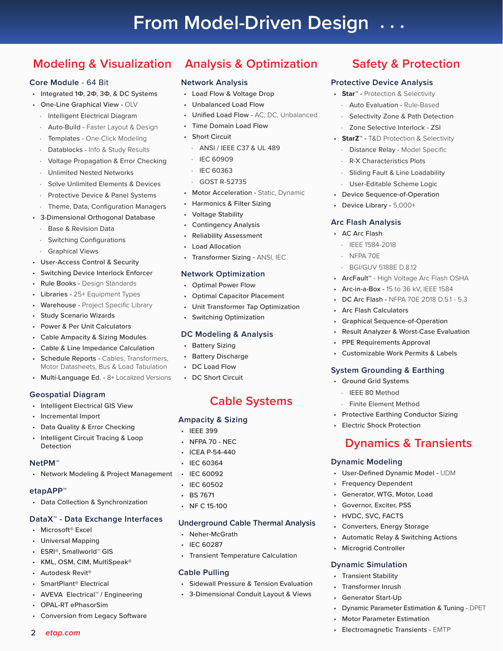#### **Modeling & Visualization Analysis & Optimization**

#### **Core Module** - 64 Bit

- Integrated 1Ф, 2Ф, 3Ф, & DC Systems
- One-Line Graphical View OLV
	- Intelligent Electrical Diagram
	- Auto-Build Faster Layout & Design
	- Templates One-Click Modeling
	- Datablocks Info & Study Results
	- · Voltage Propagation & Error Checking
	- Unlimited Nested Networks
	- Solve Unlimited Elements & Devices
	- Protective Device & Panel Systems
	- Theme, Data, Configuration Managers
- 3-Dimensional Orthogonal Database
	- Base & Revision Data
	- Switching Configurations
	- **Graphical Views**
- User-Access Control & Security
- Switching Device Interlock Enforcer
- Rule Books Design Standards
- Libraries 25+ Equipment Types
- Warehouse Project Specific Library
- **Study Scenario Wizards**
- Power & Per Unit Calculators
- Cable Ampacity & Sizing Modules
- Cable & Line Impedance Calculation
- Schedule Reports Cables, Transformers, Motor Datasheets, Bus & Load Tabulation
- Multi-Language Ed. 8+ Localized Versions

#### **Geospatial Diagram**

- Intelligent Electrical GIS View
- Incremental Import
- Data Quality & Error Checking
- Intelligent Circuit Tracing & Loop **Detection**

#### **NetPM™**

• Network Modeling & Project Management

#### **etapAPP™**

• Data Collection & Synchronization

#### **DataX™ - Data Exchange Interfaces**

- Microsoft® Excel
- Universal Mapping
- ESRI®, Smallworld™ GIS
- KML, OSM, CIM, MultiSpeak®
- Autodesk Revit®

2 *etap.com*

- SmartPlant® Electrical
- AVEVA Electrical™ / Engineering
- OPAL-RT ePhasorSim
- Conversion from Legacy Software
- **Network Analysis**
- Load Flow & Voltage Drop
- Unbalanced Load Flow
- Unified Load Flow AC, DC, Unbalanced
- Time Domain Load Flow
- **Short Circuit**
- · ANSI / IEEE C37 & UL 489
- · IEC 60909
- · IEC 60363
- · GOST R-52735
- Motor Acceleration Static, Dynamic
- Harmonics & Filter Sizing
- Voltage Stability
- Contingency Analysis
- Reliability Assessment
- Load Allocation
- Transformer Sizing ANSI, IEC

#### **Network Optimization**

- Optimal Power Flow
- Optimal Capacitor Placement
- Unit Transformer Tap Optimization
- **Switching Optimization**

#### **DC Modeling & Analysis**

- Battery Sizing
- Battery Discharge
- DC Load Flow
- DC Short Circuit

## **Cable Systems**

#### **Ampacity & Sizing**

- IEEE 399
- NFPA 70 NEC
- ICEA P-54-440
- IEC 60364
- IEC 60092
- IEC 60502
- BS 7671
- NF C 15-100

#### **Underground Cable Thermal Analysis**

- Neher-McGrath
- IEC 60287
- Transient Temperature Calculation

#### **Cable Pulling**

- Sidewall Pressure & Tension Evaluation
- 3-Dimensional Conduit Layout & Views

## **Safety & Protection**

#### **Protective Device Analysis**

- **Star**™ Protection & Selectivity
- · Auto Evaluation Rule-Based
	- Selectivity Zone & Path Detection
	- Zone Selective Interlock ZSI
- **StarZ**™ T&D Protection & Selectivity

Sliding Fault & Line Loadability User-Editable Scheme Logic • Device Sequence-of-Operation • Device Library - 5,000+

**Dynamics & Transients** 

• User-Defined Dynamic Model - UDM

• Automatic Relay & Switching Actions

• Dynamic Parameter Estimation & Tuning - DPET

**Dynamic Modeling**

• Frequency Dependent • Generator, WTG, Motor, Load • Governor, Exciter, PSS • HVDC, SVC, FACTS • Converters, Energy Storage

• Microgrid Controller

**Dynamic Simulation** • Transient Stability • Transformer Inrush • Generator Start-Up

> • Motor Parameter Estimation • Electromagnetic Transients - EMTP

Distance Relay - Model Specific · R-X Characteristics Plots

**Arc Flash Analysis** • AC Arc Flash · IEEE 1584-2018 · NFPA 70E

· BGI/GUV 5188E D.8.12

• Arc Flash Calculators

• Ground Grid Systems · IEEE 80 Method

• ArcFault™ - High Voltage Arc Flash OSHA • Arc-in-a-Box - 15 to 36 kV, IEEE 1584 • DC Arc Flash - NFPA 70E 2018 D.5.1 - 5.3

• Graphical Sequence-of-Operation • Result Analyzer & Worst-Case Evaluation

• Customizable Work Permits & Labels

• PPE Requirements Approval

**System Grounding & Earthing**

Finite Element Method • Protective Earthing Conductor Sizing

• Electric Shock Protection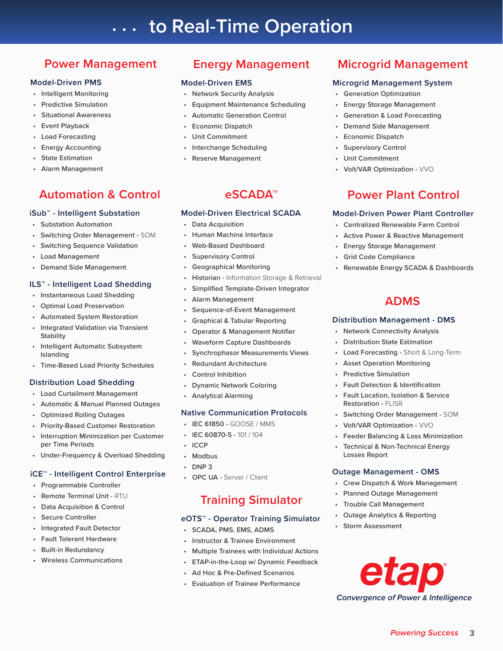# **to Real-Time Operation . . .**

## **Power Management**

#### **Model-Driven PMS**

- Intelligent Monitoring
- Predictive Simulation
- Situational Awareness
- **Event Playback**
- Load Forecasting
- **Energy Accounting**
- **State Estimation**
- Alarm Management

## **Automation & Control**

#### **iSub™ - Intelligent Substation**

- Substation Automation
- Switching Order Management SOM
- Switching Sequence Validation
- Load Management
- Demand Side Management

#### **ILS™ - Intelligent Load Shedding**

- Instantaneous Load Shedding
- Optimal Load Preservation
- Automated System Restoration
- Integrated Validation via Transient **Stability**
- Intelligent Automatic Subsystem Islanding
- Time-Based Load Priority Schedules

#### **Distribution Load Shedding**

- Load Curtailment Management
- Automatic & Manual Planned Outages
- Optimized Rolling Outages
- Priority-Based Customer Restoration
- Interruption Minimization per Customer per Time Periods
- Under-Frequency & Overload Shedding

#### **iCE™ - Intelligent Control Enterprise**

- Programmable Controller
- Remote Terminal Unit RTU
- Data Acquisition & Control
- Secure Controller
- Integrated Fault Detector
- Fault Tolerant Hardware
- Built-in Redundancy
- Wireless Communications

## **Energy Management**

#### **Model-Driven EMS**

- Network Security Analysis
- Equipment Maintenance Scheduling
- Automatic Generation Control
- Economic Dispatch
- Unit Commitment
- Interchange Scheduling
- Reserve Management

## **eSCADA™**

#### **Model-Driven Electrical SCADA**

- Data Acquisition
- Human Machine Interface
- Web-Based Dashboard
- Supervisory Control
- Geographical Monitoring
- Historian Information Storage & Retrieval
- Simplified Template-Driven Integrator
- Alarm Management
- Sequence-of-Event Management
- Graphical & Tabular Reporting
- Operator & Management Notifier
- Waveform Capture Dashboards
- Synchrophasor Measurements Views
- Redundant Architecture
- Control Inhibition
- Dynamic Network Coloring
- Analytical Alarming

#### **Native Communication Protocols**

- IEC 61850 GOOSE / MMS
- IEC 60870-5 101 / 104
- ICCP
- **Modbus**
- DNP 3
- OPC UA Server / Client

## **Training Simulator**

#### **eOTS™ - Operator Training Simulator**

- SCADA, PMS, EMS, ADMS
- Instructor & Trainee Environment
- Multiple Trainees with Individual Actions
- ETAP-in-the-Loop w/ Dynamic Feedback
- Ad Hoc & Pre-Defined Scenarios
- Evaluation of Trainee Performance

## **Microgrid Management**

#### **Microgrid Management System**

- Generation Optimization
- Energy Storage Management
- Generation & Load Forecasting
- Demand Side Management
- Economic Dispatch
- **Supervisory Control**
- Unit Commitment
- Volt/VAR Optimization VVO

## **Power Plant Control**

#### **Model-Driven Power Plant Controller**

- Centralized Renewable Farm Control
- Active Power & Reactive Management

**ADMS**

• Renewable Energy SCADA & Dashboards

Load Forecasting - Short & Long-Term

• Switching Order Management - SOM

• Feeder Balancing & Loss Minimization • Technical & Non-Technical Energy

• Crew Dispatch & Work Management • Planned Outage Management • Trouble Call Management • Outage Analytics & Reporting

*Convergence of Power & Intelligence*

190

*Powering Success* 3

• Volt/VAR Optimization - VVO

**Outage Management - OMS**

**Distribution Management - DMS** • Network Connectivity Analysis • Distribution State Estimation

• Asset Operation Monitoring • Predictive Simulation • Fault Detection & Identification • Fault Location, Isolation & Service

Restoration - FLISR

Losses Report

• Storm Assessment

- Energy Storage Management
- Grid Code Compliance